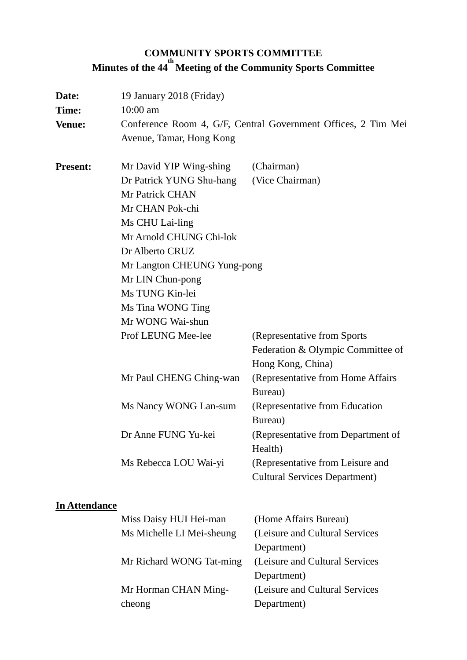# **COMMUNITY SPORTS COMMITTEE Minutes of the 44 th Meeting of the Community Sports Committee**

| Date:<br>Time:<br><b>Venue:</b> | 19 January 2018 (Friday)<br>10:00 am<br>Avenue, Tamar, Hong Kong                          | Conference Room 4, G/F, Central Government Offices, 2 Tim Mei                          |
|---------------------------------|-------------------------------------------------------------------------------------------|----------------------------------------------------------------------------------------|
| <b>Present:</b>                 | Mr David YIP Wing-shing<br>Dr Patrick YUNG Shu-hang<br>Mr Patrick CHAN<br>Mr CHAN Pok-chi | (Chairman)<br>(Vice Chairman)                                                          |
|                                 | Ms CHU Lai-ling<br>Mr Arnold CHUNG Chi-lok<br>Dr Alberto CRUZ                             |                                                                                        |
|                                 | Mr Langton CHEUNG Yung-pong<br>Mr LIN Chun-pong<br>Ms TUNG Kin-lei                        |                                                                                        |
|                                 | Ms Tina WONG Ting<br>Mr WONG Wai-shun                                                     |                                                                                        |
|                                 | Prof LEUNG Mee-lee                                                                        | (Representative from Sports)<br>Federation & Olympic Committee of<br>Hong Kong, China) |
|                                 | Mr Paul CHENG Ching-wan                                                                   | (Representative from Home Affairs<br>Bureau)                                           |
|                                 | Ms Nancy WONG Lan-sum                                                                     | (Representative from Education<br>Bureau)                                              |
|                                 | Dr Anne FUNG Yu-kei                                                                       | (Representative from Department of<br>Health)                                          |
|                                 | Ms Rebecca LOU Wai-yi                                                                     | (Representative from Leisure and<br><b>Cultural Services Department)</b>               |
| <b>In Attendance</b>            |                                                                                           |                                                                                        |
|                                 | Miss Daisy HUI Hei-man                                                                    | (Home Affairs Bureau)                                                                  |
|                                 | Ms Michelle LI Mei-sheung                                                                 | (Leisure and Cultural Services<br>Department)                                          |
|                                 | Mr Richard WONG Tat-ming                                                                  | (Leisure and Cultural Services<br>Department)                                          |
|                                 | Mr Horman CHAN Ming-                                                                      | (Leisure and Cultural Services                                                         |

Department)

cheong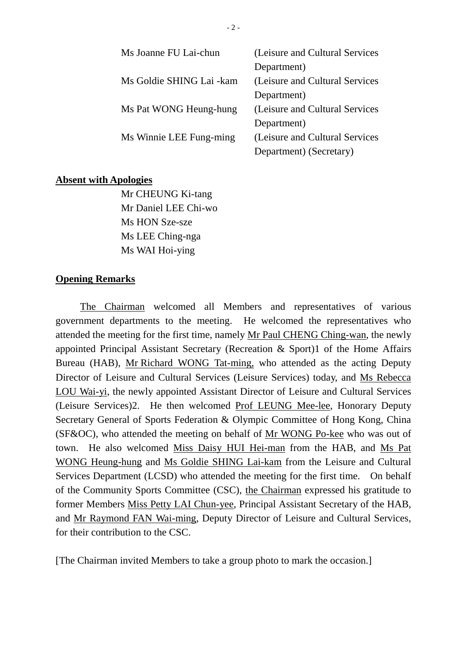| Ms Joanne FU Lai-chun    | (Leisure and Cultural Services |
|--------------------------|--------------------------------|
|                          | Department)                    |
| Ms Goldie SHING Lai -kam | (Leisure and Cultural Services |
|                          | Department)                    |
| Ms Pat WONG Heung-hung   | (Leisure and Cultural Services |
|                          | Department)                    |
| Ms Winnie LEE Fung-ming  | (Leisure and Cultural Services |
|                          | Department) (Secretary)        |

#### **Absent with Apologies**

Mr CHEUNG Ki-tang Mr Daniel LEE Chi-wo Ms HON Sze-sze Ms LEE Ching-nga Ms WAI Hoi-ying

#### **Opening Remarks**

The Chairman welcomed all Members and representatives of various government departments to the meeting. He welcomed the representatives who attended the meeting for the first time, namely Mr Paul CHENG Ching-wan, the newly appointed Principal Assistant Secretary (Recreation & Sport)1 of the Home Affairs Bureau (HAB), Mr Richard WONG Tat-ming, who attended as the acting Deputy Director of Leisure and Cultural Services (Leisure Services) today, and Ms Rebecca LOU Wai-yi, the newly appointed Assistant Director of Leisure and Cultural Services (Leisure Services)2. He then welcomed Prof LEUNG Mee-lee, Honorary Deputy Secretary General of Sports Federation & Olympic Committee of Hong Kong, China (SF&OC), who attended the meeting on behalf of Mr WONG Po-kee who was out of town. He also welcomed Miss Daisy HUI Hei-man from the HAB, and Ms Pat WONG Heung-hung and Ms Goldie SHING Lai-kam from the Leisure and Cultural Services Department (LCSD) who attended the meeting for the first time. On behalf of the Community Sports Committee (CSC), the Chairman expressed his gratitude to former Members Miss Petty LAI Chun-yee, Principal Assistant Secretary of the HAB, and Mr Raymond FAN Wai-ming, Deputy Director of Leisure and Cultural Services, for their contribution to the CSC.

[The Chairman invited Members to take a group photo to mark the occasion.]

- 2 -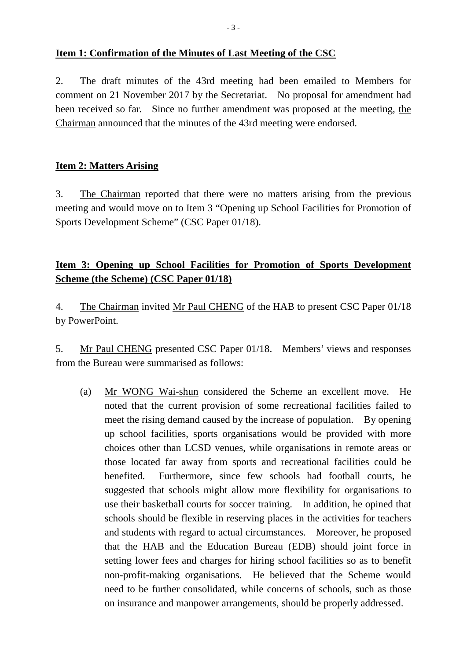#### **Item 1: Confirmation of the Minutes of Last Meeting of the CSC**

2. The draft minutes of the 43rd meeting had been emailed to Members for comment on 21 November 2017 by the Secretariat. No proposal for amendment had been received so far. Since no further amendment was proposed at the meeting, the Chairman announced that the minutes of the 43rd meeting were endorsed.

#### **Item 2: Matters Arising**

3. The Chairman reported that there were no matters arising from the previous meeting and would move on to Item 3 "Opening up School Facilities for Promotion of Sports Development Scheme" (CSC Paper 01/18).

# **Item 3: Opening up School Facilities for Promotion of Sports Development Scheme (the Scheme) (CSC Paper 01/18)**

4. The Chairman invited Mr Paul CHENG of the HAB to present CSC Paper 01/18 by PowerPoint.

5. Mr Paul CHENG presented CSC Paper 01/18. Members' views and responses from the Bureau were summarised as follows:

(a) Mr WONG Wai-shun considered the Scheme an excellent move. He noted that the current provision of some recreational facilities failed to meet the rising demand caused by the increase of population. By opening up school facilities, sports organisations would be provided with more choices other than LCSD venues, while organisations in remote areas or those located far away from sports and recreational facilities could be benefited. Furthermore, since few schools had football courts, he suggested that schools might allow more flexibility for organisations to use their basketball courts for soccer training. In addition, he opined that schools should be flexible in reserving places in the activities for teachers and students with regard to actual circumstances. Moreover, he proposed that the HAB and the Education Bureau (EDB) should joint force in setting lower fees and charges for hiring school facilities so as to benefit non-profit-making organisations. He believed that the Scheme would need to be further consolidated, while concerns of schools, such as those on insurance and manpower arrangements, should be properly addressed.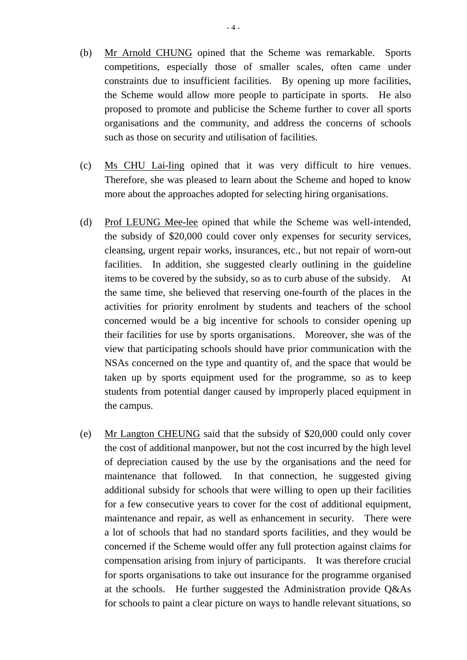- (b) Mr Arnold CHUNG opined that the Scheme was remarkable. Sports competitions, especially those of smaller scales, often came under constraints due to insufficient facilities. By opening up more facilities, the Scheme would allow more people to participate in sports. He also proposed to promote and publicise the Scheme further to cover all sports organisations and the community, and address the concerns of schools such as those on security and utilisation of facilities.
- (c) Ms CHU Lai-ling opined that it was very difficult to hire venues. Therefore, she was pleased to learn about the Scheme and hoped to know more about the approaches adopted for selecting hiring organisations.
- (d) Prof LEUNG Mee-lee opined that while the Scheme was well-intended, the subsidy of \$20,000 could cover only expenses for security services, cleansing, urgent repair works, insurances, etc., but not repair of worn-out facilities. In addition, she suggested clearly outlining in the guideline items to be covered by the subsidy, so as to curb abuse of the subsidy. At the same time, she believed that reserving one-fourth of the places in the activities for priority enrolment by students and teachers of the school concerned would be a big incentive for schools to consider opening up their facilities for use by sports organisations. Moreover, she was of the view that participating schools should have prior communication with the NSAs concerned on the type and quantity of, and the space that would be taken up by sports equipment used for the programme, so as to keep students from potential danger caused by improperly placed equipment in the campus.
- (e) Mr Langton CHEUNG said that the subsidy of \$20,000 could only cover the cost of additional manpower, but not the cost incurred by the high level of depreciation caused by the use by the organisations and the need for maintenance that followed. In that connection, he suggested giving additional subsidy for schools that were willing to open up their facilities for a few consecutive years to cover for the cost of additional equipment, maintenance and repair, as well as enhancement in security. There were a lot of schools that had no standard sports facilities, and they would be concerned if the Scheme would offer any full protection against claims for compensation arising from injury of participants. It was therefore crucial for sports organisations to take out insurance for the programme organised at the schools. He further suggested the Administration provide Q&As for schools to paint a clear picture on ways to handle relevant situations, so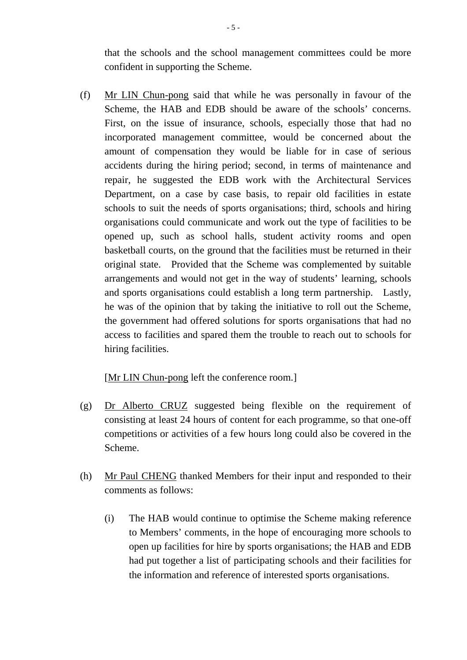that the schools and the school management committees could be more confident in supporting the Scheme.

(f) Mr LIN Chun-pong said that while he was personally in favour of the Scheme, the HAB and EDB should be aware of the schools' concerns. First, on the issue of insurance, schools, especially those that had no incorporated management committee, would be concerned about the amount of compensation they would be liable for in case of serious accidents during the hiring period; second, in terms of maintenance and repair, he suggested the EDB work with the Architectural Services Department, on a case by case basis, to repair old facilities in estate schools to suit the needs of sports organisations; third, schools and hiring organisations could communicate and work out the type of facilities to be opened up, such as school halls, student activity rooms and open basketball courts, on the ground that the facilities must be returned in their original state. Provided that the Scheme was complemented by suitable arrangements and would not get in the way of students' learning, schools and sports organisations could establish a long term partnership. Lastly, he was of the opinion that by taking the initiative to roll out the Scheme, the government had offered solutions for sports organisations that had no access to facilities and spared them the trouble to reach out to schools for hiring facilities.

#### [Mr LIN Chun-pong left the conference room.]

- (g) Dr Alberto CRUZ suggested being flexible on the requirement of consisting at least 24 hours of content for each programme, so that one-off competitions or activities of a few hours long could also be covered in the Scheme.
- (h) Mr Paul CHENG thanked Members for their input and responded to their comments as follows:
	- (i) The HAB would continue to optimise the Scheme making reference to Members' comments, in the hope of encouraging more schools to open up facilities for hire by sports organisations; the HAB and EDB had put together a list of participating schools and their facilities for the information and reference of interested sports organisations.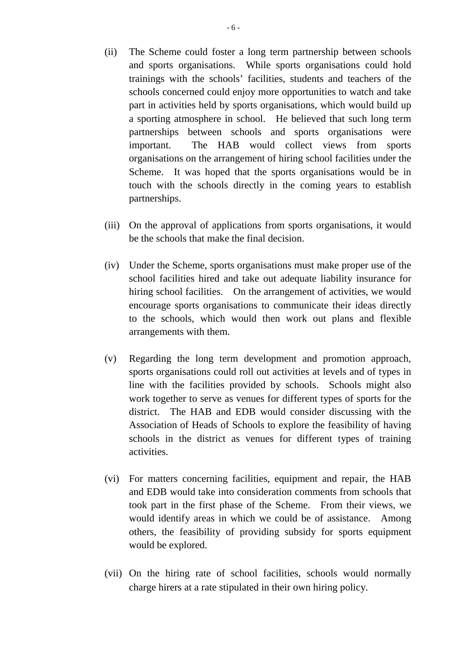- (ii) The Scheme could foster a long term partnership between schools and sports organisations. While sports organisations could hold trainings with the schools' facilities, students and teachers of the schools concerned could enjoy more opportunities to watch and take part in activities held by sports organisations, which would build up a sporting atmosphere in school. He believed that such long term partnerships between schools and sports organisations were important. The HAB would collect views from sports organisations on the arrangement of hiring school facilities under the Scheme. It was hoped that the sports organisations would be in touch with the schools directly in the coming years to establish partnerships.
- (iii) On the approval of applications from sports organisations, it would be the schools that make the final decision.
- (iv) Under the Scheme, sports organisations must make proper use of the school facilities hired and take out adequate liability insurance for hiring school facilities. On the arrangement of activities, we would encourage sports organisations to communicate their ideas directly to the schools, which would then work out plans and flexible arrangements with them.
- (v) Regarding the long term development and promotion approach, sports organisations could roll out activities at levels and of types in line with the facilities provided by schools. Schools might also work together to serve as venues for different types of sports for the district. The HAB and EDB would consider discussing with the Association of Heads of Schools to explore the feasibility of having schools in the district as venues for different types of training activities.
- (vi) For matters concerning facilities, equipment and repair, the HAB and EDB would take into consideration comments from schools that took part in the first phase of the Scheme. From their views, we would identify areas in which we could be of assistance. Among others, the feasibility of providing subsidy for sports equipment would be explored.
- (vii) On the hiring rate of school facilities, schools would normally charge hirers at a rate stipulated in their own hiring policy.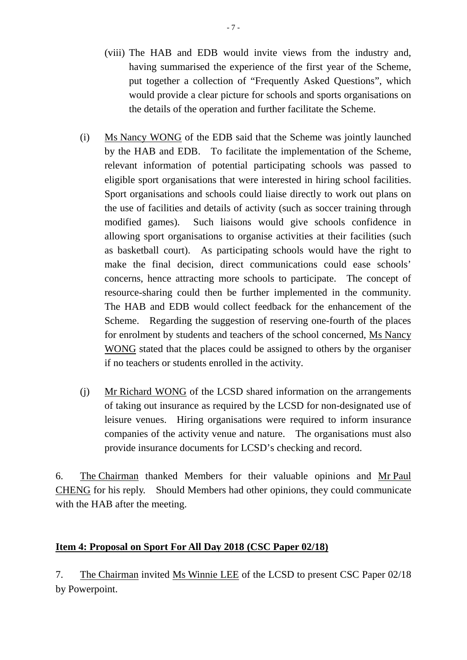- (viii) The HAB and EDB would invite views from the industry and, having summarised the experience of the first year of the Scheme, put together a collection of "Frequently Asked Questions", which would provide a clear picture for schools and sports organisations on the details of the operation and further facilitate the Scheme.
- (i) Ms Nancy WONG of the EDB said that the Scheme was jointly launched by the HAB and EDB. To facilitate the implementation of the Scheme, relevant information of potential participating schools was passed to eligible sport organisations that were interested in hiring school facilities. Sport organisations and schools could liaise directly to work out plans on the use of facilities and details of activity (such as soccer training through modified games). Such liaisons would give schools confidence in allowing sport organisations to organise activities at their facilities (such as basketball court). As participating schools would have the right to make the final decision, direct communications could ease schools' concerns, hence attracting more schools to participate. The concept of resource-sharing could then be further implemented in the community. The HAB and EDB would collect feedback for the enhancement of the Scheme. Regarding the suggestion of reserving one-fourth of the places for enrolment by students and teachers of the school concerned, Ms Nancy WONG stated that the places could be assigned to others by the organiser if no teachers or students enrolled in the activity.
- (j) Mr Richard WONG of the LCSD shared information on the arrangements of taking out insurance as required by the LCSD for non-designated use of leisure venues. Hiring organisations were required to inform insurance companies of the activity venue and nature. The organisations must also provide insurance documents for LCSD's checking and record.

6. The Chairman thanked Members for their valuable opinions and Mr Paul CHENG for his reply. Should Members had other opinions, they could communicate with the HAB after the meeting.

### **Item 4: Proposal on Sport For All Day 2018 (CSC Paper 02/18)**

7. The Chairman invited Ms Winnie LEE of the LCSD to present CSC Paper 02/18 by Powerpoint.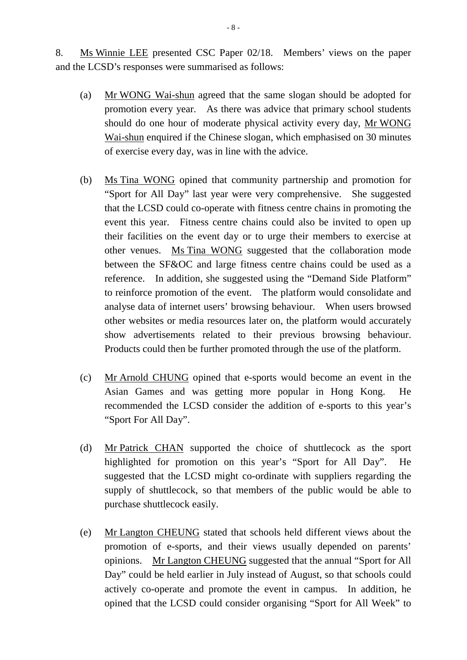8. Ms Winnie LEE presented CSC Paper 02/18. Members' views on the paper and the LCSD's responses were summarised as follows:

- (a) Mr WONG Wai-shun agreed that the same slogan should be adopted for promotion every year. As there was advice that primary school students should do one hour of moderate physical activity every day, Mr WONG Wai-shun enquired if the Chinese slogan, which emphasised on 30 minutes of exercise every day, was in line with the advice.
- (b) Ms Tina WONG opined that community partnership and promotion for "Sport for All Day" last year were very comprehensive. She suggested that the LCSD could co-operate with fitness centre chains in promoting the event this year. Fitness centre chains could also be invited to open up their facilities on the event day or to urge their members to exercise at other venues. Ms Tina WONG suggested that the collaboration mode between the SF&OC and large fitness centre chains could be used as a reference. In addition, she suggested using the "Demand Side Platform" to reinforce promotion of the event. The platform would consolidate and analyse data of internet users' browsing behaviour. When users browsed other websites or media resources later on, the platform would accurately show advertisements related to their previous browsing behaviour. Products could then be further promoted through the use of the platform.
- (c) Mr Arnold CHUNG opined that e-sports would become an event in the Asian Games and was getting more popular in Hong Kong. He recommended the LCSD consider the addition of e-sports to this year's "Sport For All Day".
- (d) Mr Patrick CHAN supported the choice of shuttlecock as the sport highlighted for promotion on this year's "Sport for All Day". He suggested that the LCSD might co-ordinate with suppliers regarding the supply of shuttlecock, so that members of the public would be able to purchase shuttlecock easily.
- (e) Mr Langton CHEUNG stated that schools held different views about the promotion of e-sports, and their views usually depended on parents' opinions. Mr Langton CHEUNG suggested that the annual "Sport for All Day" could be held earlier in July instead of August, so that schools could actively co-operate and promote the event in campus. In addition, he opined that the LCSD could consider organising "Sport for All Week" to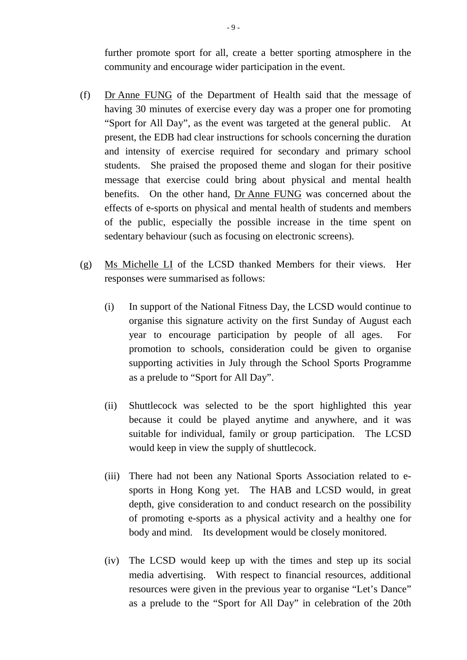further promote sport for all, create a better sporting atmosphere in the community and encourage wider participation in the event.

- (f) Dr Anne FUNG of the Department of Health said that the message of having 30 minutes of exercise every day was a proper one for promoting "Sport for All Day", as the event was targeted at the general public. At present, the EDB had clear instructions for schools concerning the duration and intensity of exercise required for secondary and primary school students. She praised the proposed theme and slogan for their positive message that exercise could bring about physical and mental health benefits. On the other hand, Dr Anne FUNG was concerned about the effects of e-sports on physical and mental health of students and members of the public, especially the possible increase in the time spent on sedentary behaviour (such as focusing on electronic screens).
- (g) Ms Michelle LI of the LCSD thanked Members for their views. Her responses were summarised as follows:
	- (i) In support of the National Fitness Day, the LCSD would continue to organise this signature activity on the first Sunday of August each year to encourage participation by people of all ages. For promotion to schools, consideration could be given to organise supporting activities in July through the School Sports Programme as a prelude to "Sport for All Day".
	- (ii) Shuttlecock was selected to be the sport highlighted this year because it could be played anytime and anywhere, and it was suitable for individual, family or group participation. The LCSD would keep in view the supply of shuttlecock.
	- (iii) There had not been any National Sports Association related to esports in Hong Kong yet. The HAB and LCSD would, in great depth, give consideration to and conduct research on the possibility of promoting e-sports as a physical activity and a healthy one for body and mind. Its development would be closely monitored.
	- (iv) The LCSD would keep up with the times and step up its social media advertising. With respect to financial resources, additional resources were given in the previous year to organise "Let's Dance" as a prelude to the "Sport for All Day" in celebration of the 20th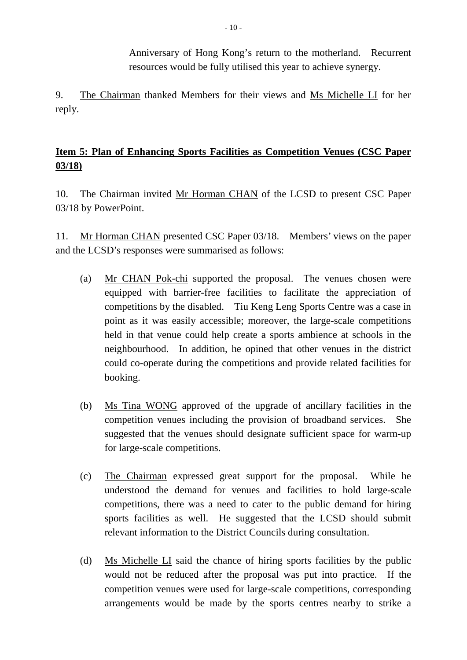Anniversary of Hong Kong's return to the motherland. Recurrent resources would be fully utilised this year to achieve synergy.

9. The Chairman thanked Members for their views and Ms Michelle LI for her reply.

## **Item 5: Plan of Enhancing Sports Facilities as Competition Venues (CSC Paper 03/18)**

10. The Chairman invited Mr Horman CHAN of the LCSD to present CSC Paper 03/18 by PowerPoint.

11. Mr Horman CHAN presented CSC Paper 03/18. Members' views on the paper and the LCSD's responses were summarised as follows:

- (a) Mr CHAN Pok-chi supported the proposal. The venues chosen were equipped with barrier-free facilities to facilitate the appreciation of competitions by the disabled. Tiu Keng Leng Sports Centre was a case in point as it was easily accessible; moreover, the large-scale competitions held in that venue could help create a sports ambience at schools in the neighbourhood. In addition, he opined that other venues in the district could co-operate during the competitions and provide related facilities for booking.
- (b) Ms Tina WONG approved of the upgrade of ancillary facilities in the competition venues including the provision of broadband services. She suggested that the venues should designate sufficient space for warm-up for large-scale competitions.
- (c) The Chairman expressed great support for the proposal. While he understood the demand for venues and facilities to hold large-scale competitions, there was a need to cater to the public demand for hiring sports facilities as well. He suggested that the LCSD should submit relevant information to the District Councils during consultation.
- (d) Ms Michelle LI said the chance of hiring sports facilities by the public would not be reduced after the proposal was put into practice. If the competition venues were used for large-scale competitions, corresponding arrangements would be made by the sports centres nearby to strike a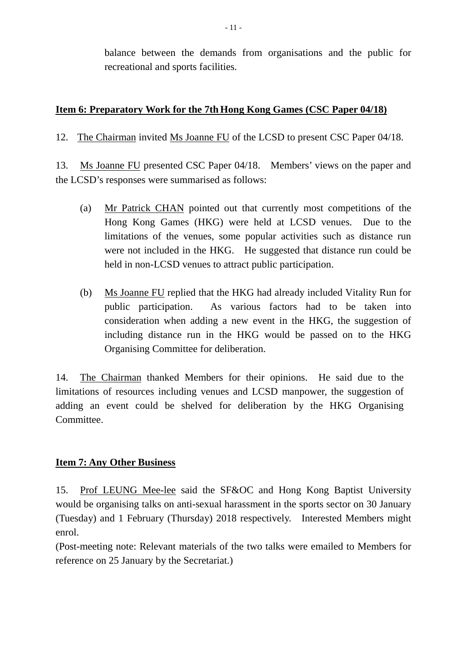balance between the demands from organisations and the public for recreational and sports facilities.

### **Item 6: Preparatory Work for the 7th Hong Kong Games (CSC Paper 04/18)**

12. The Chairman invited Ms Joanne FU of the LCSD to present CSC Paper 04/18.

13. Ms Joanne FU presented CSC Paper 04/18. Members' views on the paper and the LCSD's responses were summarised as follows:

- (a) Mr Patrick CHAN pointed out that currently most competitions of the Hong Kong Games (HKG) were held at LCSD venues. Due to the limitations of the venues, some popular activities such as distance run were not included in the HKG. He suggested that distance run could be held in non-LCSD venues to attract public participation.
- (b) Ms Joanne FU replied that the HKG had already included Vitality Run for public participation. As various factors had to be taken into consideration when adding a new event in the HKG, the suggestion of including distance run in the HKG would be passed on to the HKG Organising Committee for deliberation.

14. The Chairman thanked Members for their opinions. He said due to the limitations of resources including venues and LCSD manpower, the suggestion of adding an event could be shelved for deliberation by the HKG Organising Committee.

#### **Item 7: Any Other Business**

15. Prof LEUNG Mee-lee said the SF&OC and Hong Kong Baptist University would be organising talks on anti-sexual harassment in the sports sector on 30 January (Tuesday) and 1 February (Thursday) 2018 respectively. Interested Members might enrol.

(Post-meeting note: Relevant materials of the two talks were emailed to Members for reference on 25 January by the Secretariat.)